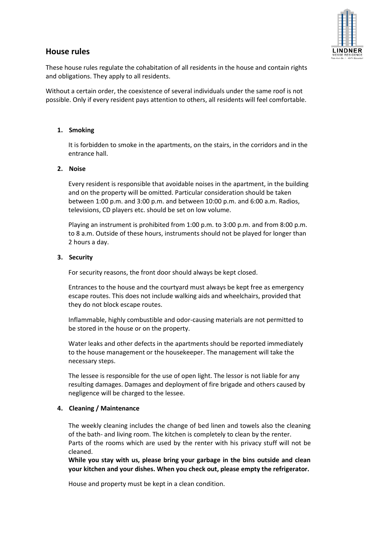

# **House rules**

These house rules regulate the cohabitation of all residents in the house and contain rights and obligations. They apply to all residents.

Without a certain order, the coexistence of several individuals under the same roof is not possible. Only if every resident pays attention to others, all residents will feel comfortable.

### **1. Smoking**

It is forbidden to smoke in the apartments, on the stairs, in the corridors and in the entrance hall.

# **2. Noise**

Every resident is responsible that avoidable noises in the apartment, in the building and on the property will be omitted. Particular consideration should be taken between 1:00 p.m. and 3:00 p.m. and between 10:00 p.m. and 6:00 a.m. Radios, televisions, CD players etc. should be set on low volume.

Playing an instrument is prohibited from 1:00 p.m. to 3:00 p.m. and from 8:00 p.m. to 8 a.m. Outside of these hours, instruments should not be played for longer than 2 hours a day.

#### **3. Security**

For security reasons, the front door should always be kept closed.

Entrances to the house and the courtyard must always be kept free as emergency escape routes. This does not include walking aids and wheelchairs, provided that they do not block escape routes.

Inflammable, highly combustible and odor-causing materials are not permitted to be stored in the house or on the property.

Water leaks and other defects in the apartments should be reported immediately to the house management or the housekeeper. The management will take the necessary steps.

The lessee is responsible for the use of open light. The lessor is not liable for any resulting damages. Damages and deployment of fire brigade and others caused by negligence will be charged to the lessee.

#### **4. Cleaning / Maintenance**

The weekly cleaning includes the change of bed linen and towels also the cleaning of the bath- and living room. The kitchen is completely to clean by the renter. Parts of the rooms which are used by the renter with his privacy stuff will not be cleaned.

**While you stay with us, please bring your garbage in the bins outside and clean your kitchen and your dishes. When you check out, please empty the refrigerator.** 

House and property must be kept in a clean condition.